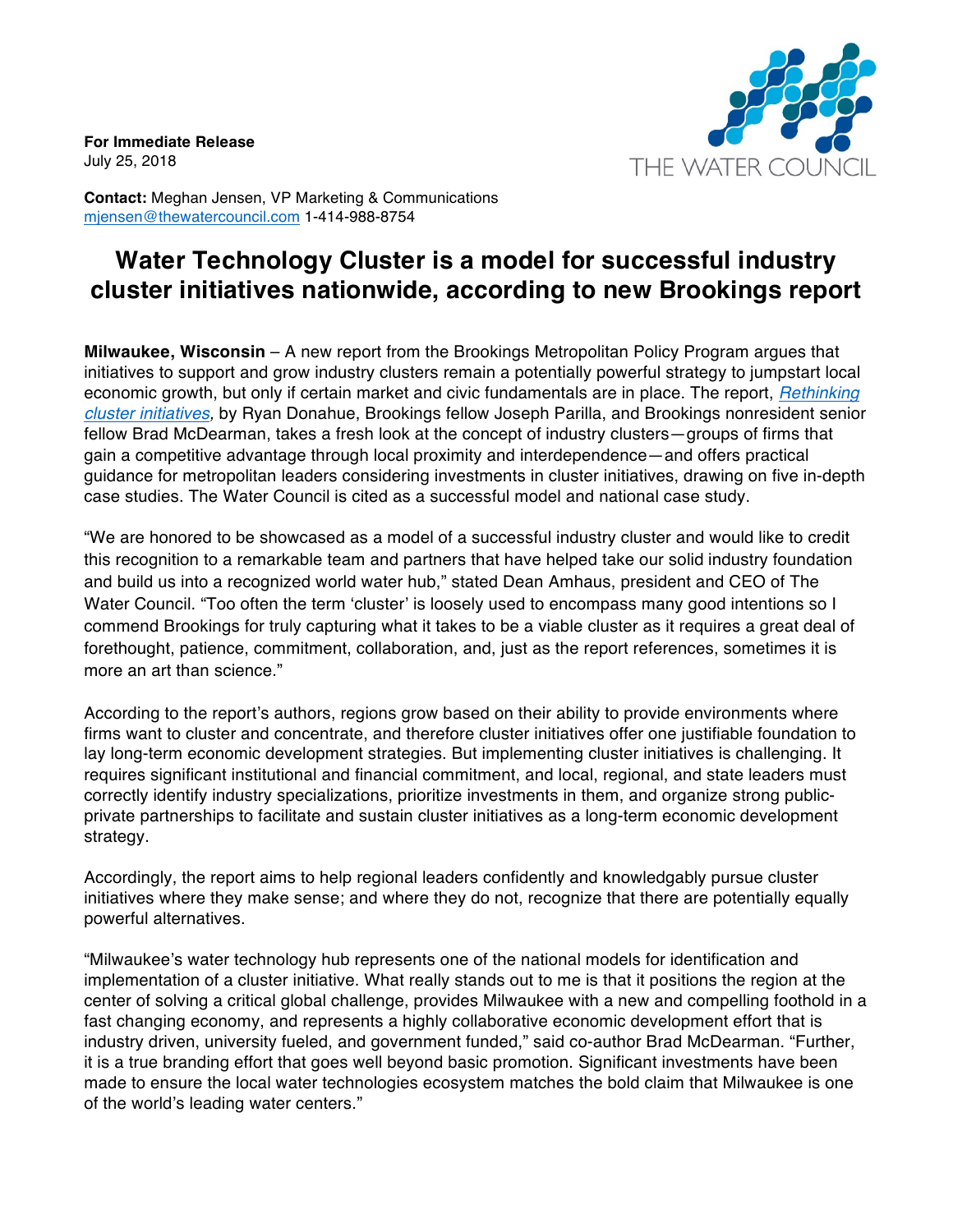**For Immediate Release** July 25, 2018



**Contact:** Meghan Jensen, VP Marketing & Communications mjensen@thewatercouncil.com 1-414-988-8754

## **Water Technology Cluster is a model for successful industry cluster initiatives nationwide, according to new Brookings report**

**Milwaukee, Wisconsin** – A new report from the Brookings Metropolitan Policy Program argues that initiatives to support and grow industry clusters remain a potentially powerful strategy to jumpstart local economic growth, but only if certain market and civic fundamentals are in place. The report, *Rethinking cluster initiatives,* by Ryan Donahue, Brookings fellow Joseph Parilla, and Brookings nonresident senior fellow Brad McDearman, takes a fresh look at the concept of industry clusters—groups of firms that gain a competitive advantage through local proximity and interdependence—and offers practical guidance for metropolitan leaders considering investments in cluster initiatives, drawing on five in-depth case studies. The Water Council is cited as a successful model and national case study.

"We are honored to be showcased as a model of a successful industry cluster and would like to credit this recognition to a remarkable team and partners that have helped take our solid industry foundation and build us into a recognized world water hub," stated Dean Amhaus, president and CEO of The Water Council. "Too often the term 'cluster' is loosely used to encompass many good intentions so I commend Brookings for truly capturing what it takes to be a viable cluster as it requires a great deal of forethought, patience, commitment, collaboration, and, just as the report references, sometimes it is more an art than science."

According to the report's authors, regions grow based on their ability to provide environments where firms want to cluster and concentrate, and therefore cluster initiatives offer one justifiable foundation to lay long-term economic development strategies. But implementing cluster initiatives is challenging. It requires significant institutional and financial commitment, and local, regional, and state leaders must correctly identify industry specializations, prioritize investments in them, and organize strong publicprivate partnerships to facilitate and sustain cluster initiatives as a long-term economic development strategy.

Accordingly, the report aims to help regional leaders confidently and knowledgably pursue cluster initiatives where they make sense; and where they do not, recognize that there are potentially equally powerful alternatives.

"Milwaukee's water technology hub represents one of the national models for identification and implementation of a cluster initiative. What really stands out to me is that it positions the region at the center of solving a critical global challenge, provides Milwaukee with a new and compelling foothold in a fast changing economy, and represents a highly collaborative economic development effort that is industry driven, university fueled, and government funded," said co-author Brad McDearman. "Further, it is a true branding effort that goes well beyond basic promotion. Significant investments have been made to ensure the local water technologies ecosystem matches the bold claim that Milwaukee is one of the world's leading water centers."